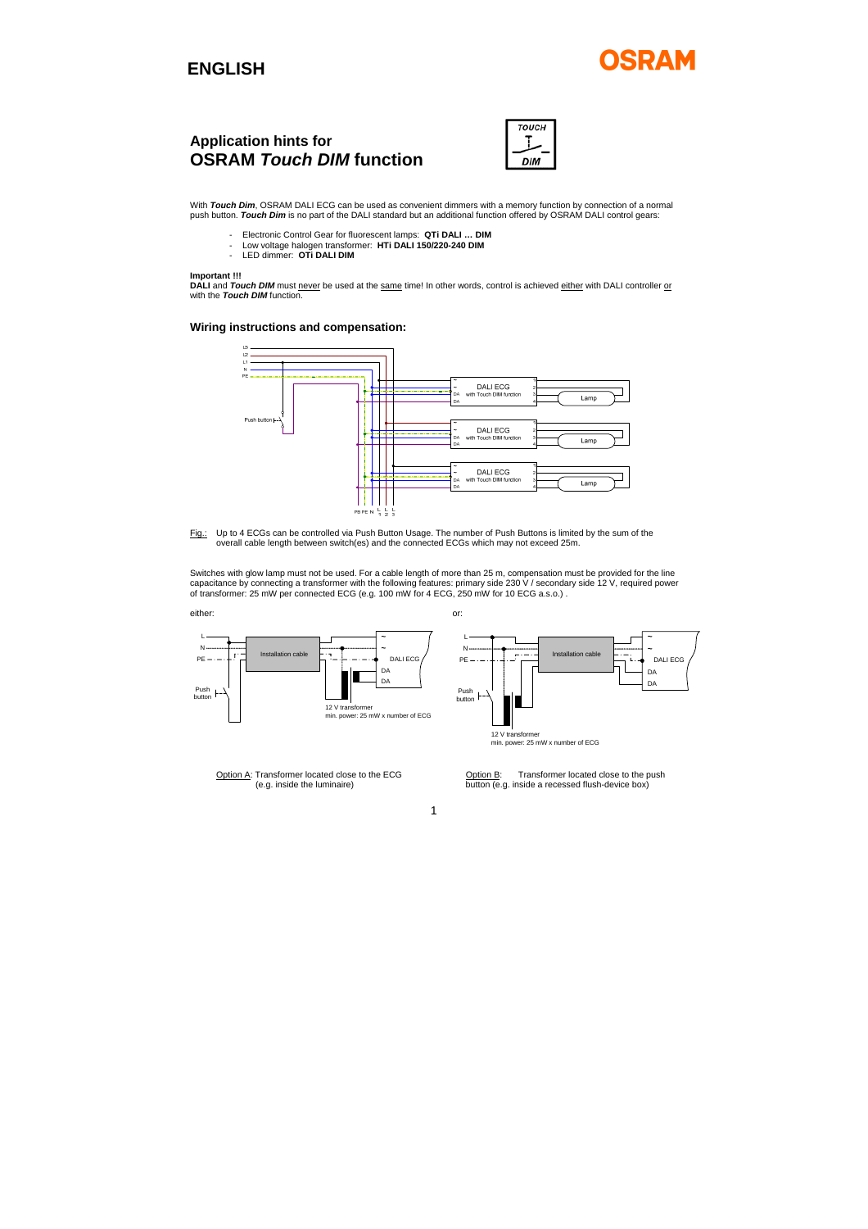## **ENGLISH**

# SDAM

# **Application hints for OSRAM** *Touch DIM* **function**



With **Touch Dim**, OSRAM DALI ECG can be used as convenient dimmers with a memory function by connection of a normal<br>push button. **Touch Dim** is no part of the DALI standard but an additional function offered by OSRAM DALI

- 
- Electronic Control Gear for fluorescent lamps: **QTi DALI … DIM** Low voltage halogen transformer: **HTi DALI 150/220-240 DIM**  LED dimmer: **OTi DALI DIM**

**Important !!!**<br>**DALI and** *Touch DIM* **must <u>never</u> be used at the <u>same</u> time! In other words, control is achieved <u>either</u> with DALI controller <u>or</u><br>with the** *Touch DIM* **function.** 

### **Wiring instructions and compensation:**



Fig.: Up to 4 ECGs can be controlled via Push Button Usage. The number of Push Buttons is limited by the sum of the<br>overall cable length between switch(es) and the connected ECGs which may not exceed 25m.

Switches with glow lamp must not be used. For a cable length of more than 25 m, compensation must be provided for the line<br>capacitance by connecting a transformer with the following features: primary side 230 V / secondary



1

Option A: Transformer located close to the ECG Option B: Transformer located close to the push of e.g. inside a recessed flush-device box) button (e.g. inside a recessed flush-device box)